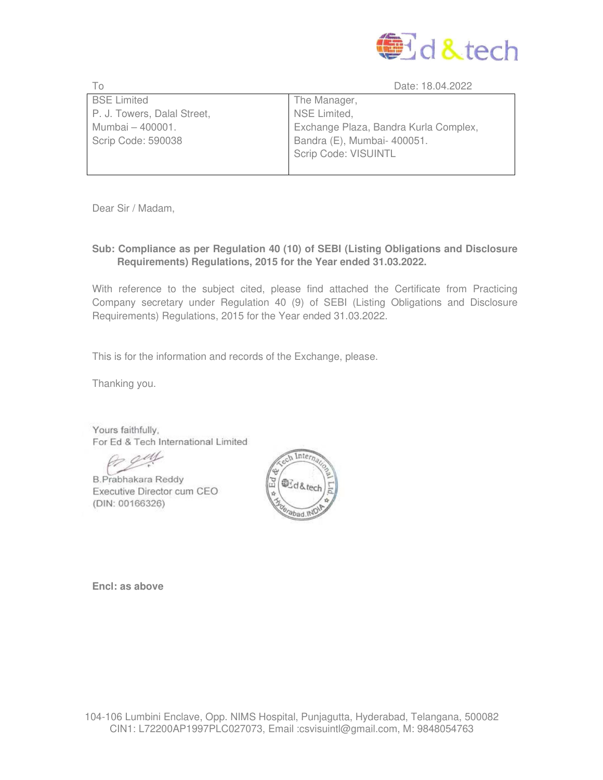

| Tο                          | Date: 18.04.2022                      |
|-----------------------------|---------------------------------------|
| <b>BSE Limited</b>          | The Manager,                          |
| P. J. Towers, Dalal Street, | NSE Limited,                          |
| Mumbai - 400001.            | Exchange Plaza, Bandra Kurla Complex, |
| Scrip Code: 590038          | Bandra (E), Mumbai- 400051.           |
|                             | Scrip Code: VISUINTL                  |
|                             |                                       |

Dear Sir / Madam,

## **Sub: Compliance as per Regulation 40 (10) of SEBI (Listing Obligations and Disclosure Requirements) Regulations, 2015 for the Year ended 31.03.2022.**

With reference to the subject cited, please find attached the Certificate from Practicing Company secretary under Regulation 40 (9) of SEBI (Listing Obligations and Disclosure Requirements) Regulations, 2015 for the Year ended 31.03.2022.

This is for the information and records of the Exchange, please.

Thanking you.

Yours faithfully. For Ed & Tech International Limited

**B.Prabhakara Reddy** Executive Director cum CEO (DIN: 00166326)



**Encl: as above**